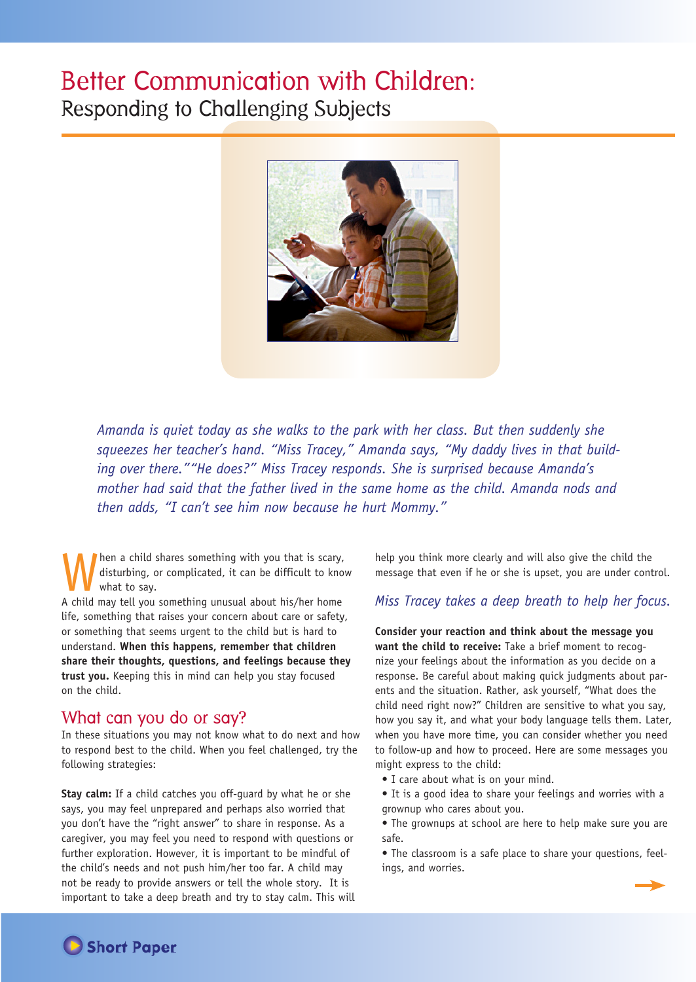# Better Communication with Children: Responding to Challenging Subjects



*Amanda is quiet today as she walks to the park with her class. But then suddenly she squeezes her teacher's hand. "Miss Tracey," Amanda says, "My daddy lives in that building over there.""He does?" Miss Tracey responds. She is surprised because Amanda's mother had said that the father lived in the same home as the child. Amanda nods and then adds, "I can't see him now because he hurt Mommy."*

hen a child shares something with you that is scary, disturbing, or complicated, it can be difficult to know what to say.

A child may tell you something unusual about his/her home life, something that raises your concern about care or safety, or something that seems urgent to the child but is hard to understand. **When this happens, remember that children share their thoughts, questions, and feelings because they trust you.** Keeping this in mind can help you stay focused on the child.

## What can you do or say?

In these situations you may not know what to do next and how to respond best to the child. When you feel challenged, try the following strategies:

**Stay calm:** If a child catches you off-guard by what he or she says, you may feel unprepared and perhaps also worried that you don't have the "right answer" to share in response. As a caregiver, you may feel you need to respond with questions or further exploration. However, it is important to be mindful of the child's needs and not push him/her too far. A child may not be ready to provide answers or tell the whole story. It is important to take a deep breath and try to stay calm. This will help you think more clearly and will also give the child the message that even if he or she is upset, you are under control.

## *Miss Tracey takes a deep breath to help her focus.*

**Consider your reaction and think about the message you want the child to receive:** Take a brief moment to recognize your feelings about the information as you decide on a response. Be careful about making quick judgments about parents and the situation. Rather, ask yourself, "What does the child need right now?" Children are sensitive to what you say, how you say it, and what your body language tells them. Later, when you have more time, you can consider whether you need to follow-up and how to proceed. Here are some messages you might express to the child:

- I care about what is on your mind.
- It is a good idea to share your feelings and worries with a grownup who cares about you.
- The grownups at school are here to help make sure you are safe.
- The classroom is a safe place to share your questions, feelings, and worries.



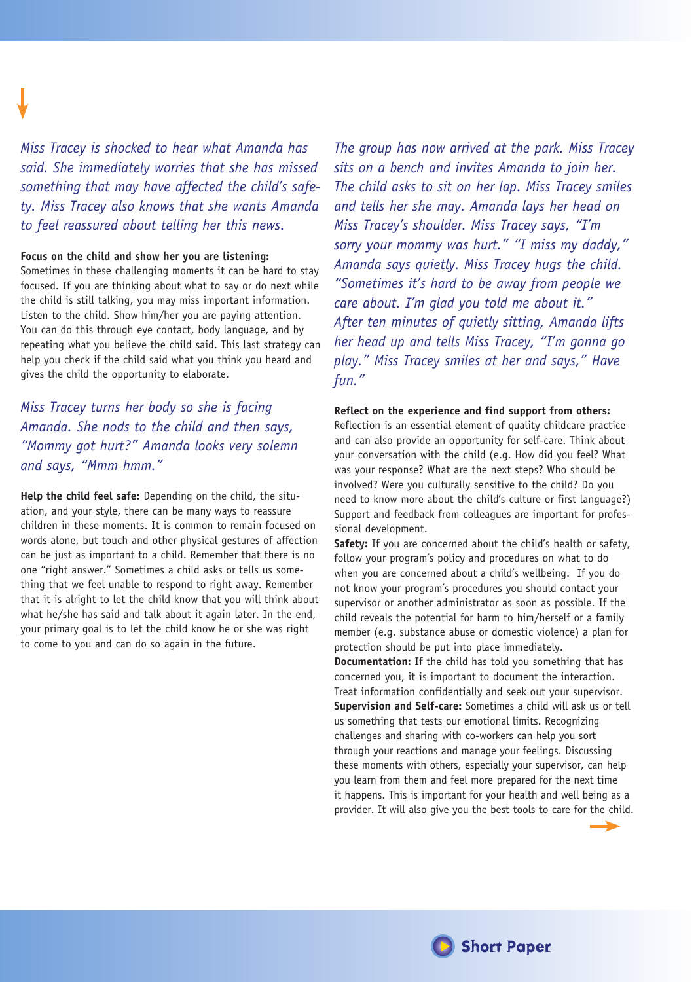*Miss Tracey is shocked to hear what Amanda has said. She immediately worries that she has missed something that may have affected the child's safety. Miss Tracey also knows that she wants Amanda to feel reassured about telling her this news.*

## **Focus on the child and show her you are listening:**

Sometimes in these challenging moments it can be hard to stay focused. If you are thinking about what to say or do next while the child is still talking, you may miss important information. Listen to the child. Show him/her you are paying attention. You can do this through eye contact, body language, and by repeating what you believe the child said. This last strategy can help you check if the child said what you think you heard and gives the child the opportunity to elaborate.

## *Miss Tracey turns her body so she is facing Amanda. She nods to the child and then says, "Mommy got hurt?" Amanda looks very solemn and says, "Mmm hmm."*

**Help the child feel safe:** Depending on the child, the situation, and your style, there can be many ways to reassure children in these moments. It is common to remain focused on words alone, but touch and other physical gestures of affection can be just as important to a child. Remember that there is no one "right answer." Sometimes a child asks or tells us something that we feel unable to respond to right away. Remember that it is alright to let the child know that you will think about what he/she has said and talk about it again later. In the end, your primary goal is to let the child know he or she was right to come to you and can do so again in the future.

*The group has now arrived at the park. Miss Tracey sits on a bench and invites Amanda to join her. The child asks to sit on her lap. Miss Tracey smiles and tells her she may. Amanda lays her head on Miss Tracey's shoulder. Miss Tracey says, "I'm sorry your mommy was hurt." "I miss my daddy," Amanda says quietly. Miss Tracey hugs the child. "Sometimes it's hard to be away from people we care about. I'm glad you told me about it." After ten minutes of quietly sitting, Amanda lifts her head up and tells Miss Tracey, "I'm gonna go play." Miss Tracey smiles at her and says," Have fun."*

### **Reflect on the experience and find support from others:**

Reflection is an essential element of quality childcare practice and can also provide an opportunity for self-care. Think about your conversation with the child (e.g. How did you feel? What was your response? What are the next steps? Who should be involved? Were you culturally sensitive to the child? Do you need to know more about the child's culture or first language?) Support and feedback from colleagues are important for professional development.

**Safety:** If you are concerned about the child's health or safety, follow your program's policy and procedures on what to do when you are concerned about a child's wellbeing. If you do not know your program's procedures you should contact your supervisor or another administrator as soon as possible. If the child reveals the potential for harm to him/herself or a family member (e.g. substance abuse or domestic violence) a plan for protection should be put into place immediately.

**Documentation:** If the child has told you something that has concerned you, it is important to document the interaction. Treat information confidentially and seek out your supervisor. **Supervision and Self-care:** Sometimes a child will ask us or tell us something that tests our emotional limits. Recognizing challenges and sharing with co-workers can help you sort through your reactions and manage your feelings. Discussing these moments with others, especially your supervisor, can help you learn from them and feel more prepared for the next time it happens. This is important for your health and well being as a provider. It will also give you the best tools to care for the child.